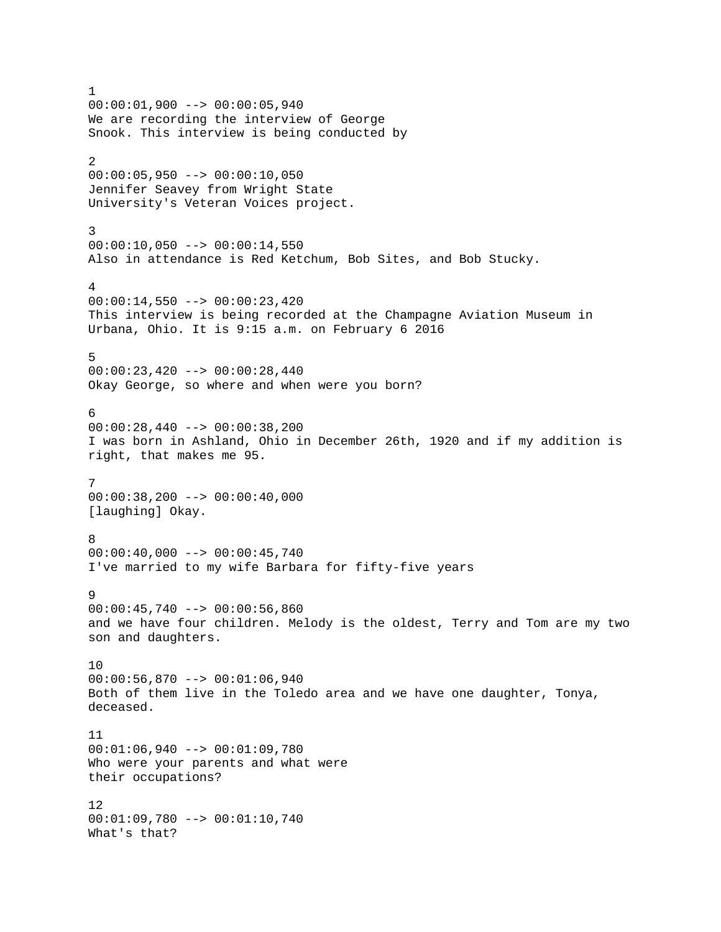1 00:00:01,900 --> 00:00:05,940 We are recording the interview of George Snook. This interview is being conducted by 2 00:00:05,950 --> 00:00:10,050 Jennifer Seavey from Wright State University's Veteran Voices project. 3  $00:00:10,050$  -->  $00:00:14,550$ Also in attendance is Red Ketchum, Bob Sites, and Bob Stucky. 4  $00:00:14,550$  -->  $00:00:23,420$ This interview is being recorded at the Champagne Aviation Museum in Urbana, Ohio. It is 9:15 a.m. on February 6 2016 5  $00:00:23,420$  -->  $00:00:28,440$ Okay George, so where and when were you born? 6 00:00:28,440 --> 00:00:38,200 I was born in Ashland, Ohio in December 26th, 1920 and if my addition is right, that makes me 95. 7 00:00:38,200 --> 00:00:40,000 [laughing] Okay. 8  $00:00:40,000$  -->  $00:00:45,740$ I've married to my wife Barbara for fifty-five years 9  $00:00:45,740$  -->  $00:00:56,860$ and we have four children. Melody is the oldest, Terry and Tom are my two son and daughters. 10 00:00:56,870 --> 00:01:06,940 Both of them live in the Toledo area and we have one daughter, Tonya, deceased. 11 00:01:06,940 --> 00:01:09,780 Who were your parents and what were their occupations? 12 00:01:09,780 --> 00:01:10,740 What's that?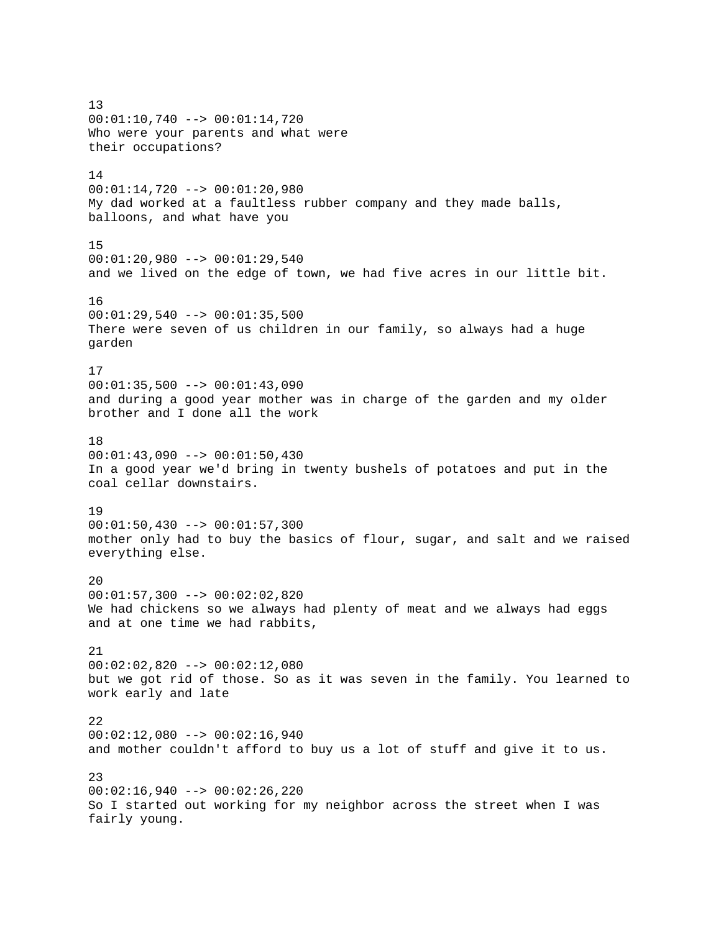13 00:01:10,740 --> 00:01:14,720 Who were your parents and what were their occupations? 14  $00:01:14,720$  -->  $00:01:20,980$ My dad worked at a faultless rubber company and they made balls, balloons, and what have you 15 00:01:20,980 --> 00:01:29,540 and we lived on the edge of town, we had five acres in our little bit. 16 00:01:29,540 --> 00:01:35,500 There were seven of us children in our family, so always had a huge garden 17  $00:01:35,500$  -->  $00:01:43,090$ and during a good year mother was in charge of the garden and my older brother and I done all the work 18  $00:01:43,090$  -->  $00:01:50,430$ In a good year we'd bring in twenty bushels of potatoes and put in the coal cellar downstairs. 19  $00:01:50,430$  -->  $00:01:57,300$ mother only had to buy the basics of flour, sugar, and salt and we raised everything else. 20 00:01:57,300 --> 00:02:02,820 We had chickens so we always had plenty of meat and we always had eggs and at one time we had rabbits, 21 00:02:02,820 --> 00:02:12,080 but we got rid of those. So as it was seven in the family. You learned to work early and late 22  $00:02:12,080$  -->  $00:02:16,940$ and mother couldn't afford to buy us a lot of stuff and give it to us. 23  $00:02:16,940$  -->  $00:02:26,220$ So I started out working for my neighbor across the street when I was fairly young.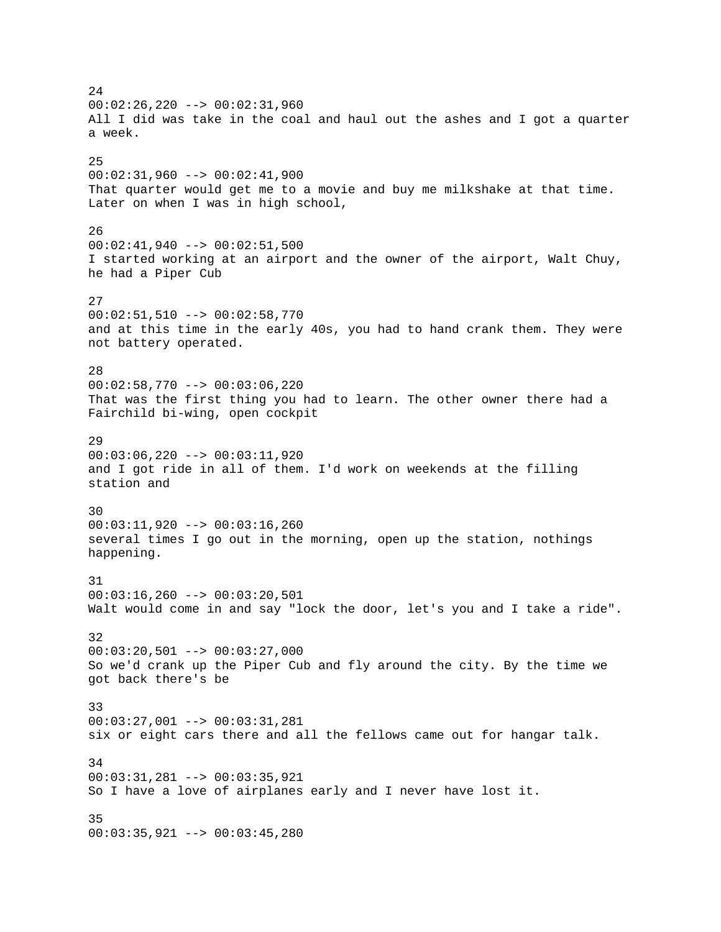24  $00:02:26,220$  -->  $00:02:31,960$ All I did was take in the coal and haul out the ashes and I got a quarter a week. 25 00:02:31,960 --> 00:02:41,900 That quarter would get me to a movie and buy me milkshake at that time. Later on when I was in high school, 26  $00:02:41,940$  -->  $00:02:51,500$ I started working at an airport and the owner of the airport, Walt Chuy, he had a Piper Cub 27 00:02:51,510 --> 00:02:58,770 and at this time in the early 40s, you had to hand crank them. They were not battery operated. 28 00:02:58,770 --> 00:03:06,220 That was the first thing you had to learn. The other owner there had a Fairchild bi-wing, open cockpit 29 00:03:06,220 --> 00:03:11,920 and I got ride in all of them. I'd work on weekends at the filling station and 30 00:03:11,920 --> 00:03:16,260 several times I go out in the morning, open up the station, nothings happening. 31 00:03:16,260 --> 00:03:20,501 Walt would come in and say "lock the door, let's you and I take a ride". 32  $00:03:20,501$  -->  $00:03:27,000$ So we'd crank up the Piper Cub and fly around the city. By the time we got back there's be 33 00:03:27,001 --> 00:03:31,281 six or eight cars there and all the fellows came out for hangar talk. 34 00:03:31,281 --> 00:03:35,921 So I have a love of airplanes early and I never have lost it. 35 00:03:35,921 --> 00:03:45,280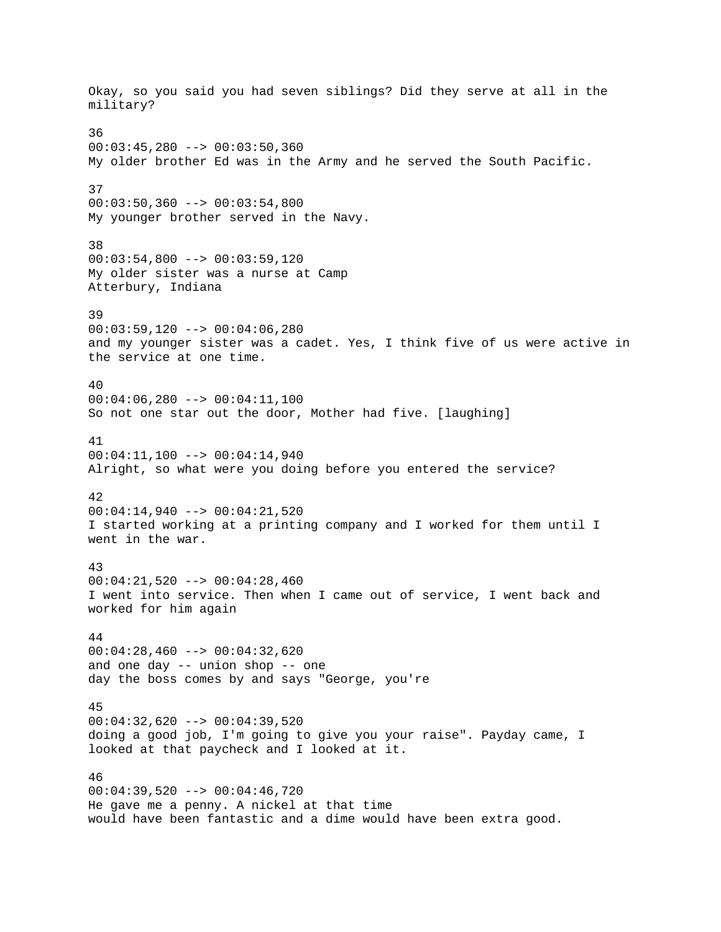Okay, so you said you had seven siblings? Did they serve at all in the military? 36 00:03:45,280 --> 00:03:50,360 My older brother Ed was in the Army and he served the South Pacific. 37  $00:03:50,360$  -->  $00:03:54,800$ My younger brother served in the Navy. 38 00:03:54,800 --> 00:03:59,120 My older sister was a nurse at Camp Atterbury, Indiana 39 00:03:59,120 --> 00:04:06,280 and my younger sister was a cadet. Yes, I think five of us were active in the service at one time. 40  $00:04:06,280$  -->  $00:04:11,100$ So not one star out the door, Mother had five. [laughing] 41 00:04:11,100 --> 00:04:14,940 Alright, so what were you doing before you entered the service? 42 00:04:14,940 --> 00:04:21,520 I started working at a printing company and I worked for them until I went in the war. 43 00:04:21,520 --> 00:04:28,460 I went into service. Then when I came out of service, I went back and worked for him again 44  $00:04:28,460$  -->  $00:04:32,620$ and one day -- union shop -- one day the boss comes by and says "George, you're 45 00:04:32,620 --> 00:04:39,520 doing a good job, I'm going to give you your raise". Payday came, I looked at that paycheck and I looked at it. 46  $00:04:39,520$  -->  $00:04:46,720$ He gave me a penny. A nickel at that time would have been fantastic and a dime would have been extra good.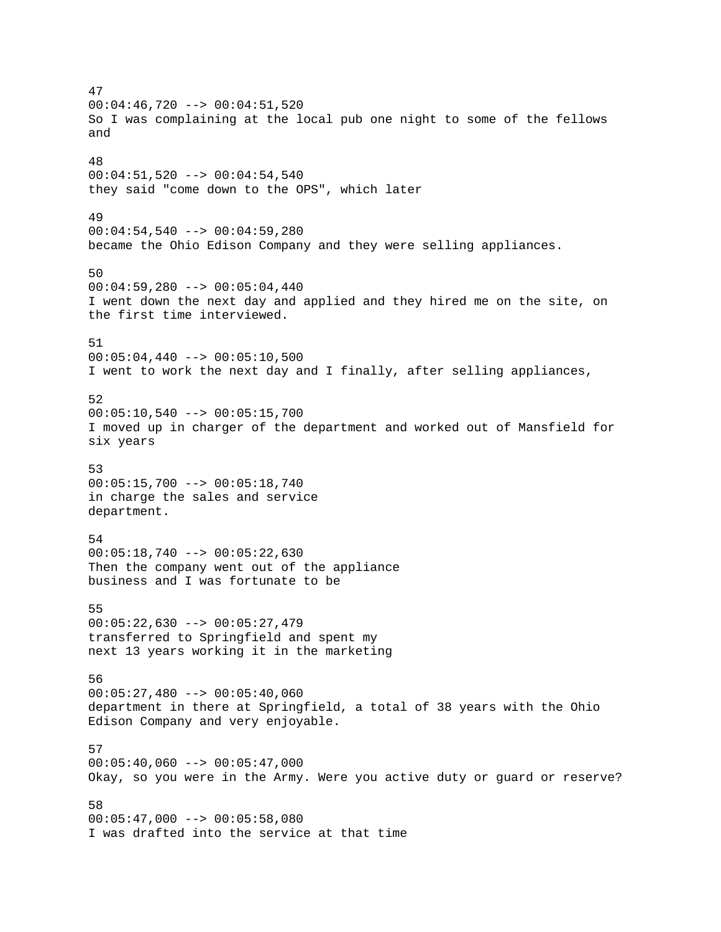47  $00:04:46,720$  -->  $00:04:51,520$ So I was complaining at the local pub one night to some of the fellows and 48 00:04:51,520 --> 00:04:54,540 they said "come down to the OPS", which later 49  $00:04:54,540$  -->  $00:04:59,280$ became the Ohio Edison Company and they were selling appliances. 50  $00:04:59,280$  -->  $00:05:04,440$ I went down the next day and applied and they hired me on the site, on the first time interviewed. 51  $00:05:04,440$  -->  $00:05:10,500$ I went to work the next day and I finally, after selling appliances, 52  $00:05:10,540$  -->  $00:05:15,700$ I moved up in charger of the department and worked out of Mansfield for six years 53 00:05:15,700 --> 00:05:18,740 in charge the sales and service department. 54  $00:05:18,740$  -->  $00:05:22,630$ Then the company went out of the appliance business and I was fortunate to be 55 00:05:22,630 --> 00:05:27,479 transferred to Springfield and spent my next 13 years working it in the marketing 56 00:05:27,480 --> 00:05:40,060 department in there at Springfield, a total of 38 years with the Ohio Edison Company and very enjoyable. 57  $00:05:40,060$  -->  $00:05:47,000$ Okay, so you were in the Army. Were you active duty or guard or reserve? 58  $00:05:47,000$  -->  $00:05:58,080$ I was drafted into the service at that time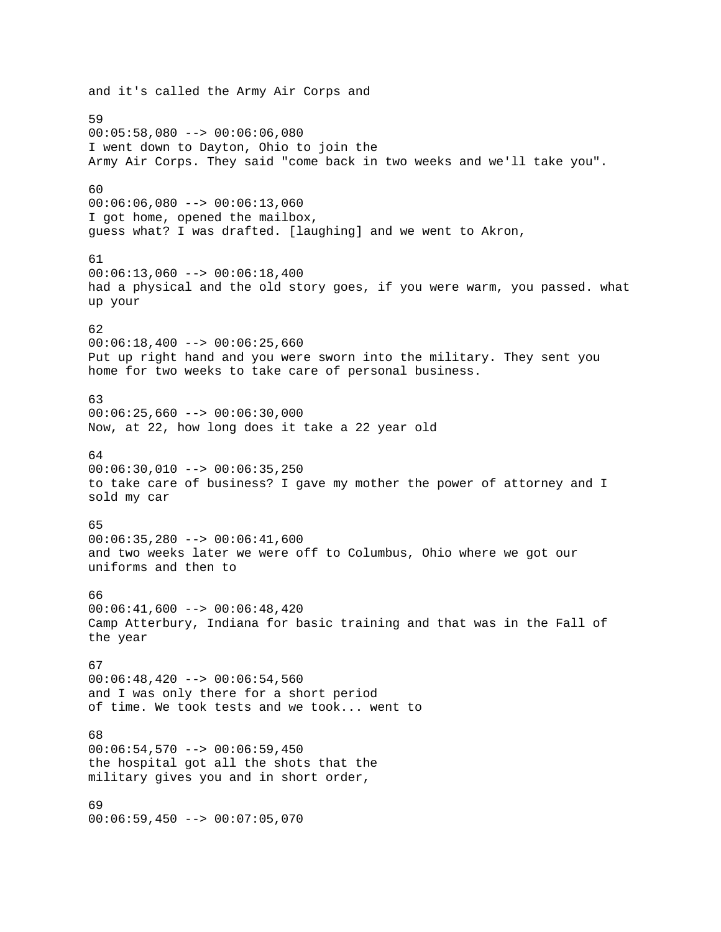and it's called the Army Air Corps and 59 00:05:58,080 --> 00:06:06,080 I went down to Dayton, Ohio to join the Army Air Corps. They said "come back in two weeks and we'll take you". 60  $00:06:06,080$  -->  $00:06:13,060$ I got home, opened the mailbox, guess what? I was drafted. [laughing] and we went to Akron, 61  $00:06:13,060$  -->  $00:06:18,400$ had a physical and the old story goes, if you were warm, you passed. what up your 62  $00:06:18,400$  -->  $00:06:25,660$ Put up right hand and you were sworn into the military. They sent you home for two weeks to take care of personal business. 63  $00:06:25,660$  -->  $00:06:30,000$ Now, at 22, how long does it take a 22 year old 64  $00:06:30,010$  -->  $00:06:35,250$ to take care of business? I gave my mother the power of attorney and I sold my car 65 00:06:35,280 --> 00:06:41,600 and two weeks later we were off to Columbus, Ohio where we got our uniforms and then to 66  $00:06:41,600$  -->  $00:06:48,420$ Camp Atterbury, Indiana for basic training and that was in the Fall of the year 67 00:06:48,420 --> 00:06:54,560 and I was only there for a short period of time. We took tests and we took... went to 68  $00:06:54,570$  -->  $00:06:59,450$ the hospital got all the shots that the military gives you and in short order, 69 00:06:59,450 --> 00:07:05,070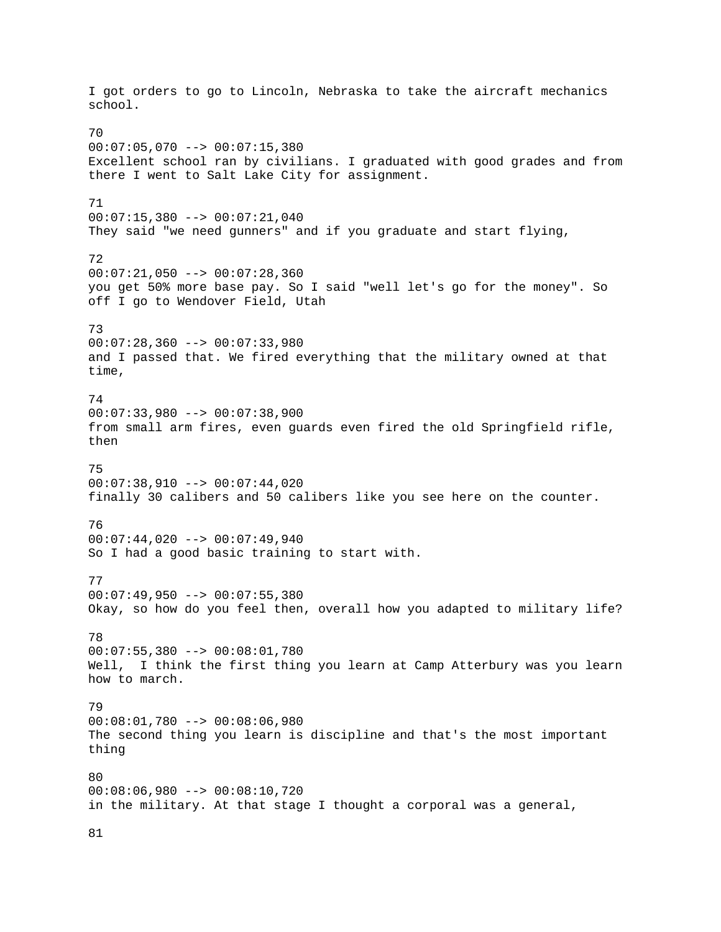I got orders to go to Lincoln, Nebraska to take the aircraft mechanics school. 70  $00:07:05,070$  -->  $00:07:15,380$ Excellent school ran by civilians. I graduated with good grades and from there I went to Salt Lake City for assignment. 71 00:07:15,380 --> 00:07:21,040 They said "we need gunners" and if you graduate and start flying, 72 00:07:21,050 --> 00:07:28,360 you get 50% more base pay. So I said "well let's go for the money". So off I go to Wendover Field, Utah 73  $00:07:28,360$  -->  $00:07:33,980$ and I passed that. We fired everything that the military owned at that time, 74 00:07:33,980 --> 00:07:38,900 from small arm fires, even guards even fired the old Springfield rifle, then 75  $00:07:38,910$  -->  $00:07:44,020$ finally 30 calibers and 50 calibers like you see here on the counter. 76 00:07:44,020 --> 00:07:49,940 So I had a good basic training to start with. 77  $00:07:49,950$  -->  $00:07:55,380$ Okay, so how do you feel then, overall how you adapted to military life? 78 00:07:55,380 --> 00:08:01,780 Well, I think the first thing you learn at Camp Atterbury was you learn how to march. 79 00:08:01,780 --> 00:08:06,980 The second thing you learn is discipline and that's the most important thing 80 00:08:06,980 --> 00:08:10,720 in the military. At that stage I thought a corporal was a general,

81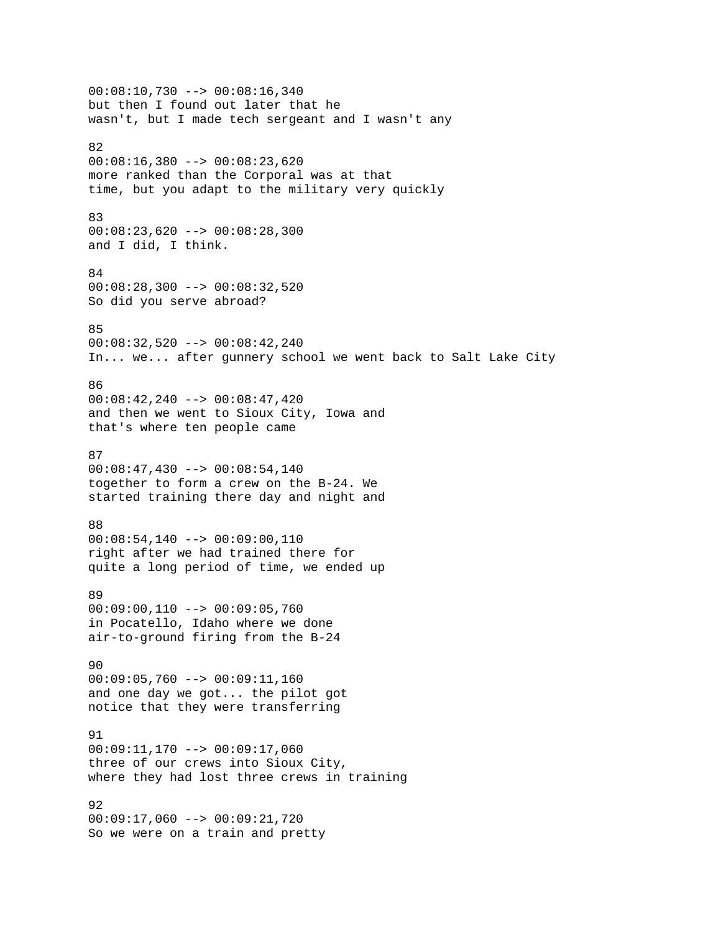00:08:10,730 --> 00:08:16,340 but then I found out later that he wasn't, but I made tech sergeant and I wasn't any 82 00:08:16,380 --> 00:08:23,620 more ranked than the Corporal was at that time, but you adapt to the military very quickly 83 00:08:23,620 --> 00:08:28,300 and I did, I think. 84 00:08:28,300 --> 00:08:32,520 So did you serve abroad? 85 00:08:32,520 --> 00:08:42,240 In... we... after gunnery school we went back to Salt Lake City 86 00:08:42,240 --> 00:08:47,420 and then we went to Sioux City, Iowa and that's where ten people came 87  $00:08:47,430$  -->  $00:08:54,140$ together to form a crew on the B-24. We started training there day and night and 88  $00:08:54,140$  -->  $00:09:00,110$ right after we had trained there for quite a long period of time, we ended up 89 00:09:00,110 --> 00:09:05,760 in Pocatello, Idaho where we done air-to-ground firing from the B-24 90 00:09:05,760 --> 00:09:11,160 and one day we got... the pilot got notice that they were transferring 91 00:09:11,170 --> 00:09:17,060 three of our crews into Sioux City, where they had lost three crews in training 92 00:09:17,060 --> 00:09:21,720 So we were on a train and pretty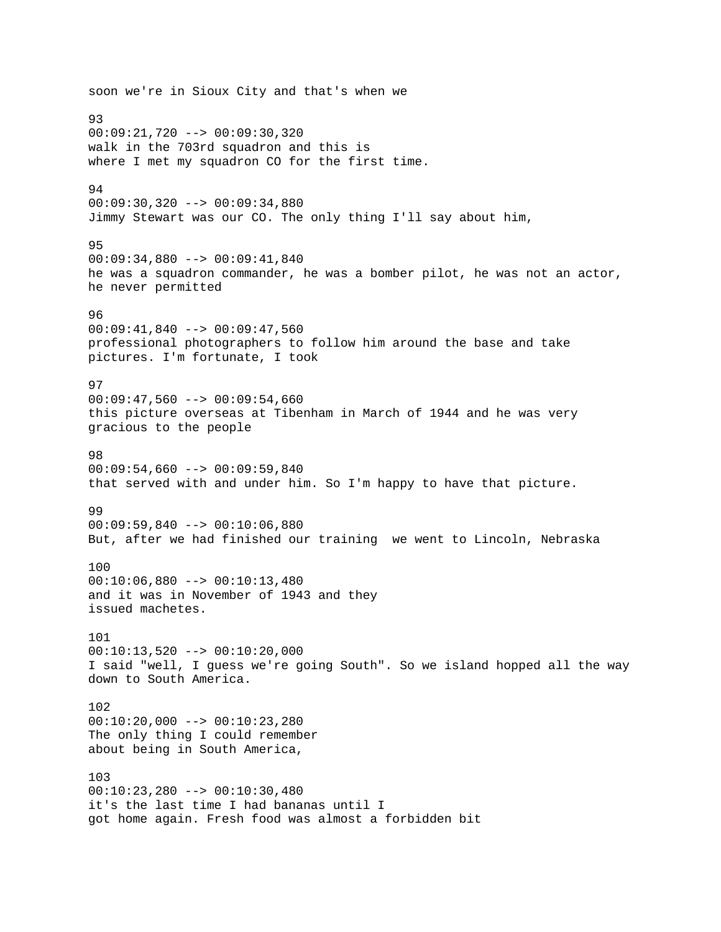soon we're in Sioux City and that's when we 93 00:09:21,720 --> 00:09:30,320 walk in the 703rd squadron and this is where I met my squadron CO for the first time. 94 00:09:30,320 --> 00:09:34,880 Jimmy Stewart was our CO. The only thing I'll say about him, 95 00:09:34,880 --> 00:09:41,840 he was a squadron commander, he was a bomber pilot, he was not an actor, he never permitted 96 00:09:41,840 --> 00:09:47,560 professional photographers to follow him around the base and take pictures. I'm fortunate, I took 97  $00:09:47,560$  -->  $00:09:54,660$ this picture overseas at Tibenham in March of 1944 and he was very gracious to the people 98  $00:09:54,660$  -->  $00:09:59,840$ that served with and under him. So I'm happy to have that picture. 99 00:09:59,840 --> 00:10:06,880 But, after we had finished our training we went to Lincoln, Nebraska 100 00:10:06,880 --> 00:10:13,480 and it was in November of 1943 and they issued machetes. 101  $00:10:13,520$  -->  $00:10:20,000$ I said "well, I guess we're going South". So we island hopped all the way down to South America. 102 00:10:20,000 --> 00:10:23,280 The only thing I could remember about being in South America, 103 00:10:23,280 --> 00:10:30,480 it's the last time I had bananas until I got home again. Fresh food was almost a forbidden bit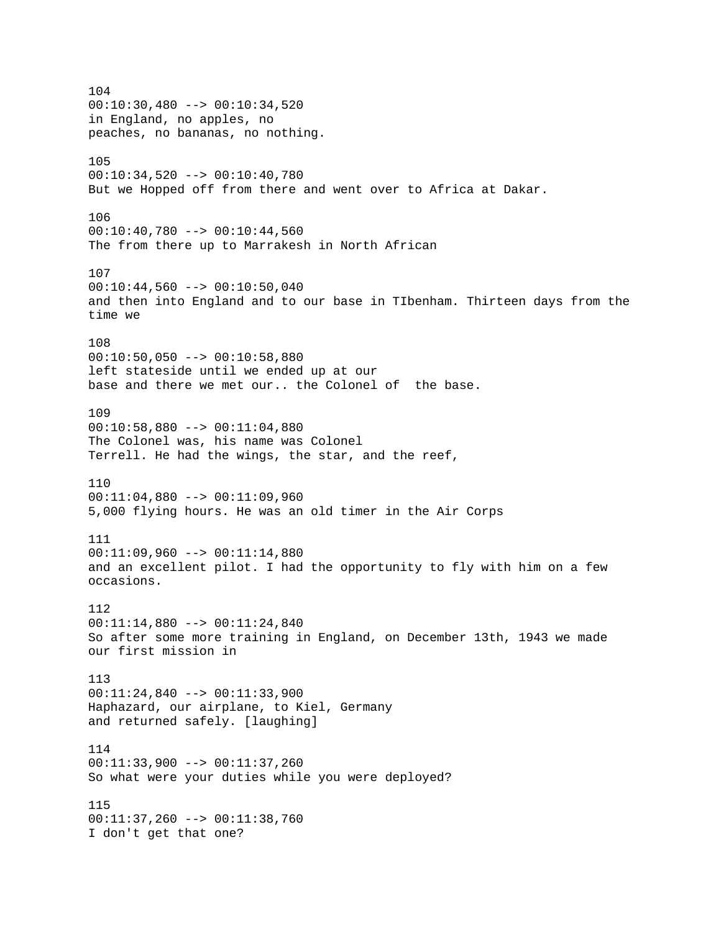104  $00:10:30,480$  -->  $00:10:34,520$ in England, no apples, no peaches, no bananas, no nothing. 105 00:10:34,520 --> 00:10:40,780 But we Hopped off from there and went over to Africa at Dakar. 106 00:10:40,780 --> 00:10:44,560 The from there up to Marrakesh in North African 107  $00:10:44,560$  -->  $00:10:50,040$ and then into England and to our base in TIbenham. Thirteen days from the time we 108 00:10:50,050 --> 00:10:58,880 left stateside until we ended up at our base and there we met our.. the Colonel of the base. 109 00:10:58,880 --> 00:11:04,880 The Colonel was, his name was Colonel Terrell. He had the wings, the star, and the reef, 110 00:11:04,880 --> 00:11:09,960 5,000 flying hours. He was an old timer in the Air Corps 111 00:11:09,960 --> 00:11:14,880 and an excellent pilot. I had the opportunity to fly with him on a few occasions. 112 00:11:14,880 --> 00:11:24,840 So after some more training in England, on December 13th, 1943 we made our first mission in 113 00:11:24,840 --> 00:11:33,900 Haphazard, our airplane, to Kiel, Germany and returned safely. [laughing] 114 00:11:33,900 --> 00:11:37,260 So what were your duties while you were deployed? 115 00:11:37,260 --> 00:11:38,760 I don't get that one?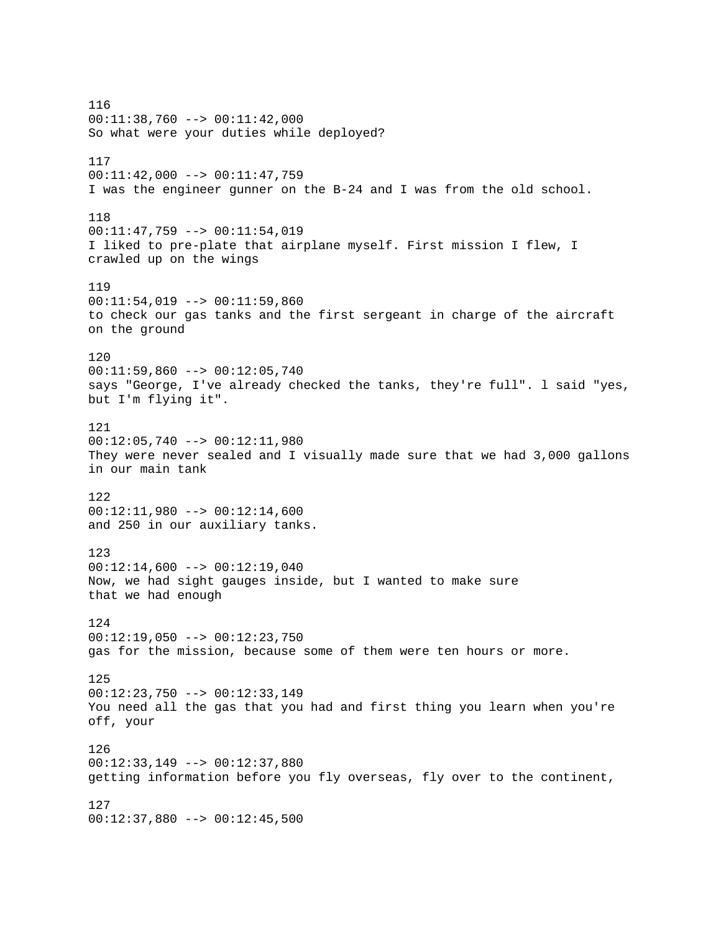116 00:11:38,760 --> 00:11:42,000 So what were your duties while deployed? 117 00:11:42,000 --> 00:11:47,759 I was the engineer gunner on the B-24 and I was from the old school. 118 00:11:47,759 --> 00:11:54,019 I liked to pre-plate that airplane myself. First mission I flew, I crawled up on the wings 119 00:11:54,019 --> 00:11:59,860 to check our gas tanks and the first sergeant in charge of the aircraft on the ground 120 00:11:59,860 --> 00:12:05,740 says "George, I've already checked the tanks, they're full". l said "yes, but I'm flying it". 121 00:12:05,740 --> 00:12:11,980 They were never sealed and I visually made sure that we had 3,000 gallons in our main tank 122 00:12:11,980 --> 00:12:14,600 and 250 in our auxiliary tanks. 123  $00:12:14,600$  -->  $00:12:19,040$ Now, we had sight gauges inside, but I wanted to make sure that we had enough 124  $00:12:19,050$  -->  $00:12:23,750$ gas for the mission, because some of them were ten hours or more. 125 00:12:23,750 --> 00:12:33,149 You need all the gas that you had and first thing you learn when you're off, your 126 00:12:33,149 --> 00:12:37,880 getting information before you fly overseas, fly over to the continent, 127 00:12:37,880 --> 00:12:45,500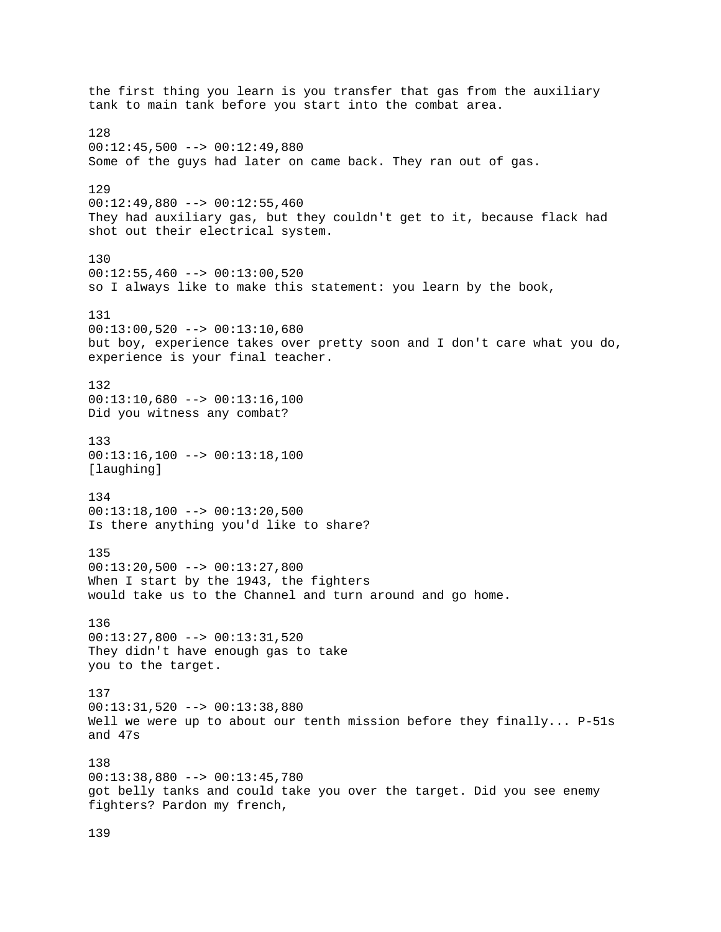the first thing you learn is you transfer that gas from the auxiliary tank to main tank before you start into the combat area. 128  $00:12:45,500$  -->  $00:12:49,880$ Some of the guys had later on came back. They ran out of gas. 129 00:12:49,880 --> 00:12:55,460 They had auxiliary gas, but they couldn't get to it, because flack had shot out their electrical system. 130  $00:12:55,460$  -->  $00:13:00,520$ so I always like to make this statement: you learn by the book, 131 00:13:00,520 --> 00:13:10,680 but boy, experience takes over pretty soon and I don't care what you do, experience is your final teacher. 132 00:13:10,680 --> 00:13:16,100 Did you witness any combat? 133  $00:13:16,100$  -->  $00:13:18,100$ [laughing] 134 00:13:18,100 --> 00:13:20,500 Is there anything you'd like to share? 135 00:13:20,500 --> 00:13:27,800 When I start by the 1943, the fighters would take us to the Channel and turn around and go home. 136 00:13:27,800 --> 00:13:31,520 They didn't have enough gas to take you to the target. 137 00:13:31,520 --> 00:13:38,880 Well we were up to about our tenth mission before they finally...  $P-51s$ and 47s 138 00:13:38,880 --> 00:13:45,780 got belly tanks and could take you over the target. Did you see enemy fighters? Pardon my french,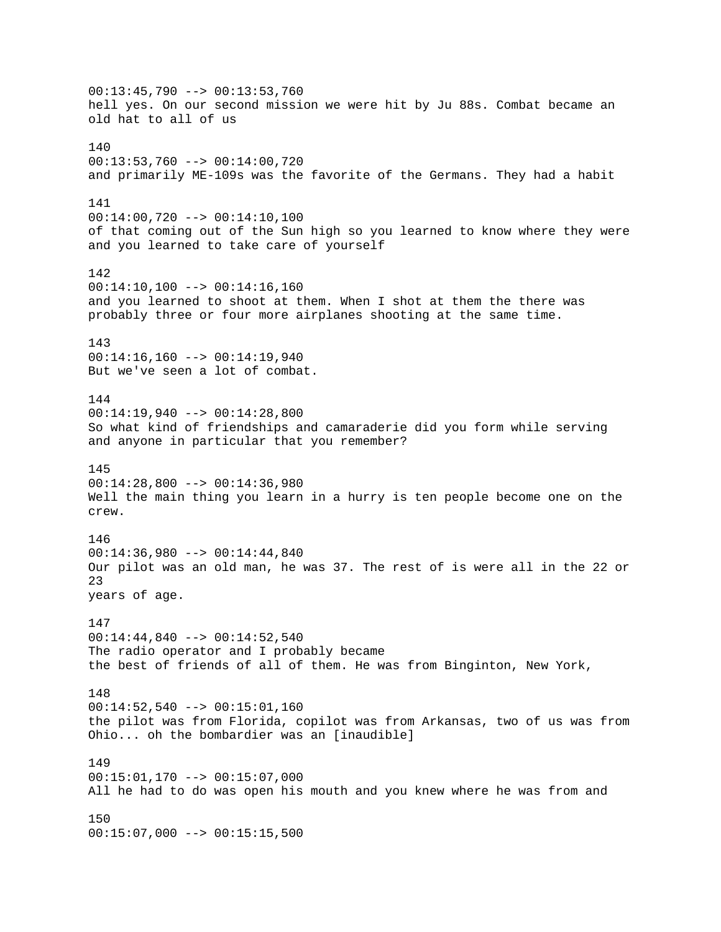00:13:45,790 --> 00:13:53,760 hell yes. On our second mission we were hit by Ju 88s. Combat became an old hat to all of us 140 00:13:53,760 --> 00:14:00,720 and primarily ME-109s was the favorite of the Germans. They had a habit 141 00:14:00,720 --> 00:14:10,100 of that coming out of the Sun high so you learned to know where they were and you learned to take care of yourself 142  $00:14:10,100$  -->  $00:14:16,160$ and you learned to shoot at them. When I shot at them the there was probably three or four more airplanes shooting at the same time. 143 00:14:16,160 --> 00:14:19,940 But we've seen a lot of combat. 144 00:14:19,940 --> 00:14:28,800 So what kind of friendships and camaraderie did you form while serving and anyone in particular that you remember? 145 00:14:28,800 --> 00:14:36,980 Well the main thing you learn in a hurry is ten people become one on the crew. 146 00:14:36,980 --> 00:14:44,840 Our pilot was an old man, he was 37. The rest of is were all in the 22 or 23 years of age. 147 00:14:44,840 --> 00:14:52,540 The radio operator and I probably became the best of friends of all of them. He was from Binginton, New York, 148 00:14:52,540 --> 00:15:01,160 the pilot was from Florida, copilot was from Arkansas, two of us was from Ohio... oh the bombardier was an [inaudible] 149 00:15:01,170 --> 00:15:07,000 All he had to do was open his mouth and you knew where he was from and 150 00:15:07,000 --> 00:15:15,500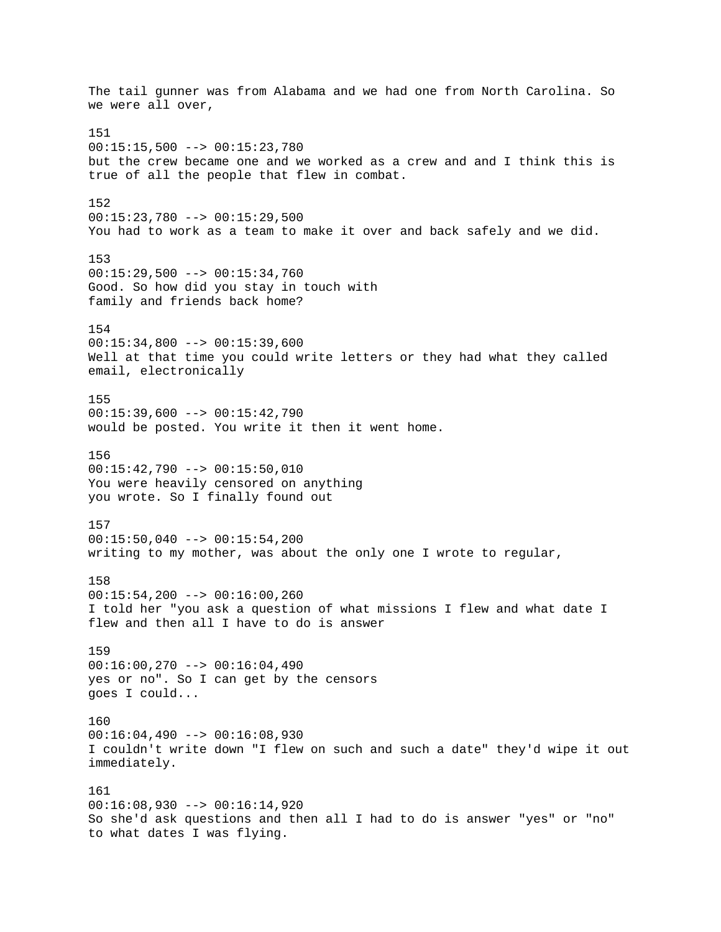The tail gunner was from Alabama and we had one from North Carolina. So we were all over, 151 00:15:15,500 --> 00:15:23,780 but the crew became one and we worked as a crew and and I think this is true of all the people that flew in combat. 152 00:15:23,780 --> 00:15:29,500 You had to work as a team to make it over and back safely and we did. 153  $00:15:29,500$  -->  $00:15:34,760$ Good. So how did you stay in touch with family and friends back home? 154  $00:15:34,800$  -->  $00:15:39,600$ Well at that time you could write letters or they had what they called email, electronically 155  $00:15:39,600$  -->  $00:15:42,790$ would be posted. You write it then it went home. 156 00:15:42,790 --> 00:15:50,010 You were heavily censored on anything you wrote. So I finally found out 157  $00:15:50,040$  -->  $00:15:54,200$ writing to my mother, was about the only one I wrote to regular, 158 00:15:54,200 --> 00:16:00,260 I told her "you ask a question of what missions I flew and what date I flew and then all I have to do is answer 159 00:16:00,270 --> 00:16:04,490 yes or no". So I can get by the censors goes I could... 160  $00:16:04,490$  -->  $00:16:08,930$ I couldn't write down "I flew on such and such a date" they'd wipe it out immediately. 161 00:16:08,930 --> 00:16:14,920 So she'd ask questions and then all I had to do is answer "yes" or "no" to what dates I was flying.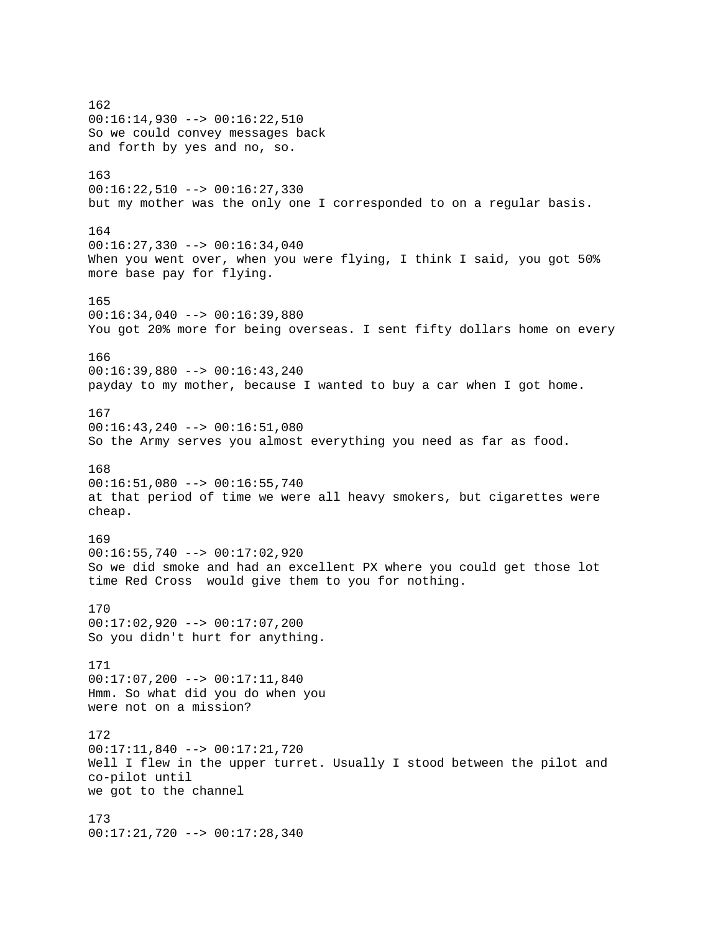162 00:16:14,930 --> 00:16:22,510 So we could convey messages back and forth by yes and no, so. 163 00:16:22,510 --> 00:16:27,330 but my mother was the only one I corresponded to on a regular basis. 164  $00:16:27,330$  -->  $00:16:34,040$ When you went over, when you were flying, I think I said, you got 50% more base pay for flying. 165 00:16:34,040 --> 00:16:39,880 You got 20% more for being overseas. I sent fifty dollars home on every 166 00:16:39,880 --> 00:16:43,240 payday to my mother, because I wanted to buy a car when I got home. 167 00:16:43,240 --> 00:16:51,080 So the Army serves you almost everything you need as far as food. 168 00:16:51,080 --> 00:16:55,740 at that period of time we were all heavy smokers, but cigarettes were cheap. 169  $00:16:55,740$  -->  $00:17:02,920$ So we did smoke and had an excellent PX where you could get those lot time Red Cross would give them to you for nothing. 170 00:17:02,920 --> 00:17:07,200 So you didn't hurt for anything. 171 00:17:07,200 --> 00:17:11,840 Hmm. So what did you do when you were not on a mission? 172 00:17:11,840 --> 00:17:21,720 Well I flew in the upper turret. Usually I stood between the pilot and co-pilot until we got to the channel 173 00:17:21,720 --> 00:17:28,340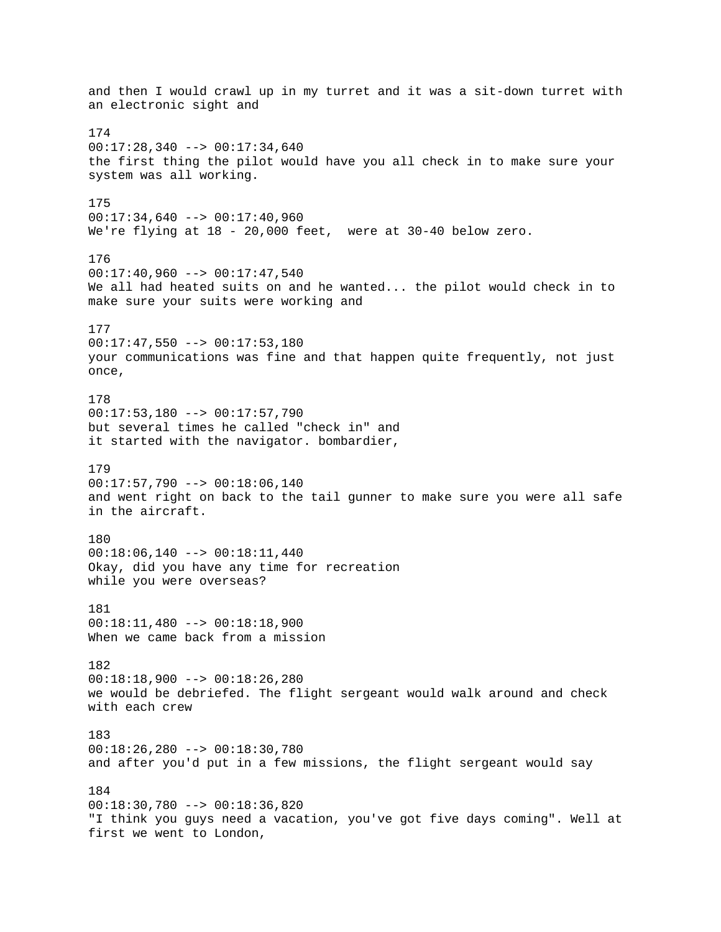and then I would crawl up in my turret and it was a sit-down turret with an electronic sight and 174 00:17:28,340 --> 00:17:34,640 the first thing the pilot would have you all check in to make sure your system was all working. 175 00:17:34,640 --> 00:17:40,960 We're flying at 18 - 20,000 feet, were at 30-40 below zero. 176  $00:17:40,960$  -->  $00:17:47,540$ We all had heated suits on and he wanted... the pilot would check in to make sure your suits were working and 177  $00:17:47,550$  -->  $00:17:53,180$ your communications was fine and that happen quite frequently, not just once, 178  $00:17:53,180$  -->  $00:17:57,790$ but several times he called "check in" and it started with the navigator. bombardier, 179 00:17:57,790 --> 00:18:06,140 and went right on back to the tail gunner to make sure you were all safe in the aircraft. 180 00:18:06,140 --> 00:18:11,440 Okay, did you have any time for recreation while you were overseas? 181 00:18:11,480 --> 00:18:18,900 When we came back from a mission 182 00:18:18,900 --> 00:18:26,280 we would be debriefed. The flight sergeant would walk around and check with each crew 183 00:18:26,280 --> 00:18:30,780 and after you'd put in a few missions, the flight sergeant would say 184 00:18:30,780 --> 00:18:36,820 "I think you guys need a vacation, you've got five days coming". Well at first we went to London,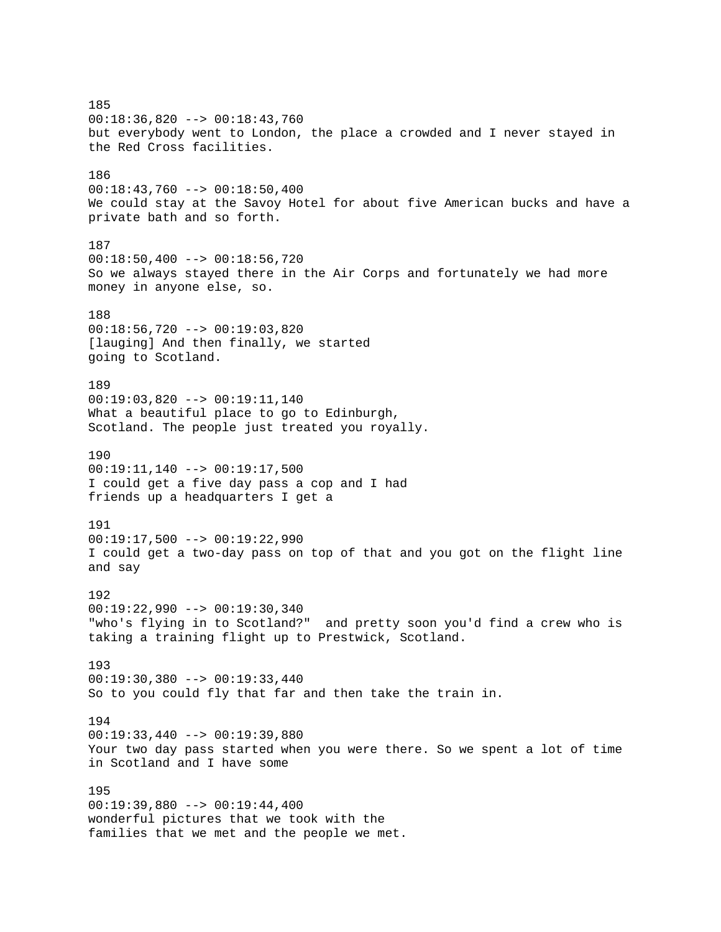185 00:18:36,820 --> 00:18:43,760 but everybody went to London, the place a crowded and I never stayed in the Red Cross facilities. 186  $00:18:43,760$  -->  $00:18:50,400$ We could stay at the Savoy Hotel for about five American bucks and have a private bath and so forth. 187 00:18:50,400 --> 00:18:56,720 So we always stayed there in the Air Corps and fortunately we had more money in anyone else, so. 188 00:18:56,720 --> 00:19:03,820 [lauging] And then finally, we started going to Scotland. 189 00:19:03,820 --> 00:19:11,140 What a beautiful place to go to Edinburgh, Scotland. The people just treated you royally. 190 00:19:11,140 --> 00:19:17,500 I could get a five day pass a cop and I had friends up a headquarters I get a 191  $00:19:17,500$  -->  $00:19:22,990$ I could get a two-day pass on top of that and you got on the flight line and say 192 00:19:22,990 --> 00:19:30,340 "who's flying in to Scotland?" and pretty soon you'd find a crew who is taking a training flight up to Prestwick, Scotland. 193 00:19:30,380 --> 00:19:33,440 So to you could fly that far and then take the train in. 194 00:19:33,440 --> 00:19:39,880 Your two day pass started when you were there. So we spent a lot of time in Scotland and I have some 195 00:19:39,880 --> 00:19:44,400 wonderful pictures that we took with the families that we met and the people we met.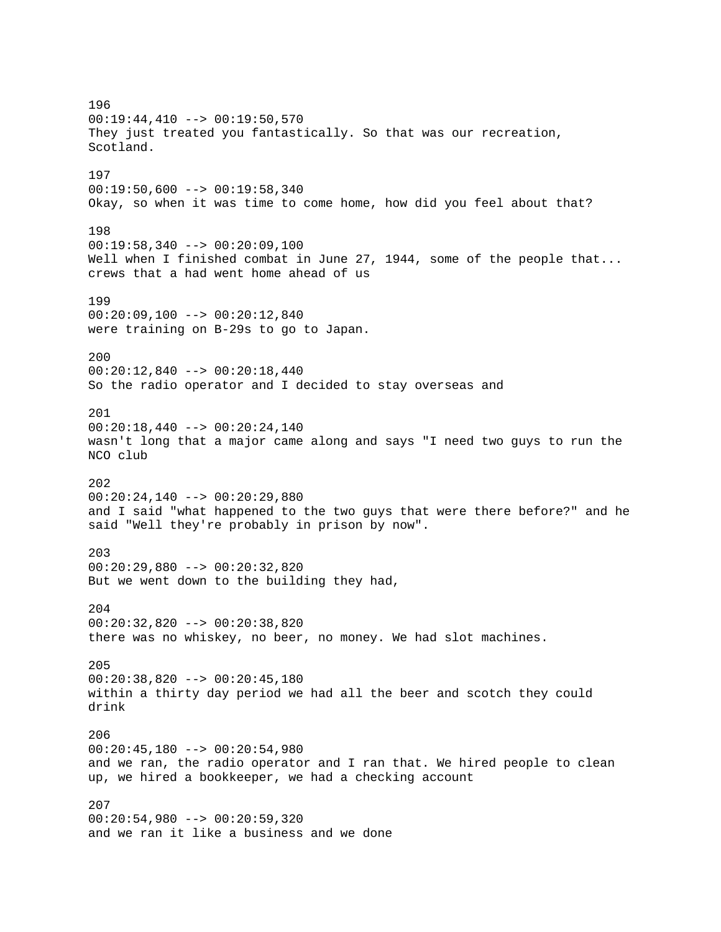196  $00:19:44,410$  -->  $00:19:50,570$ They just treated you fantastically. So that was our recreation, Scotland. 197  $00:19:50,600$  -->  $00:19:58,340$ Okay, so when it was time to come home, how did you feel about that? 198  $00:19:58,340$  -->  $00:20:09,100$ Well when I finished combat in June 27, 1944, some of the people that... crews that a had went home ahead of us 199 00:20:09,100 --> 00:20:12,840 were training on B-29s to go to Japan. 200 00:20:12,840 --> 00:20:18,440 So the radio operator and I decided to stay overseas and 201 00:20:18,440 --> 00:20:24,140 wasn't long that a major came along and says "I need two guys to run the NCO club 202 00:20:24,140 --> 00:20:29,880 and I said "what happened to the two guys that were there before?" and he said "Well they're probably in prison by now". 203 00:20:29,880 --> 00:20:32,820 But we went down to the building they had, 204 00:20:32,820 --> 00:20:38,820 there was no whiskey, no beer, no money. We had slot machines. 205 00:20:38,820 --> 00:20:45,180 within a thirty day period we had all the beer and scotch they could drink 206  $00:20:45,180$  -->  $00:20:54,980$ and we ran, the radio operator and I ran that. We hired people to clean up, we hired a bookkeeper, we had a checking account 207 00:20:54,980 --> 00:20:59,320 and we ran it like a business and we done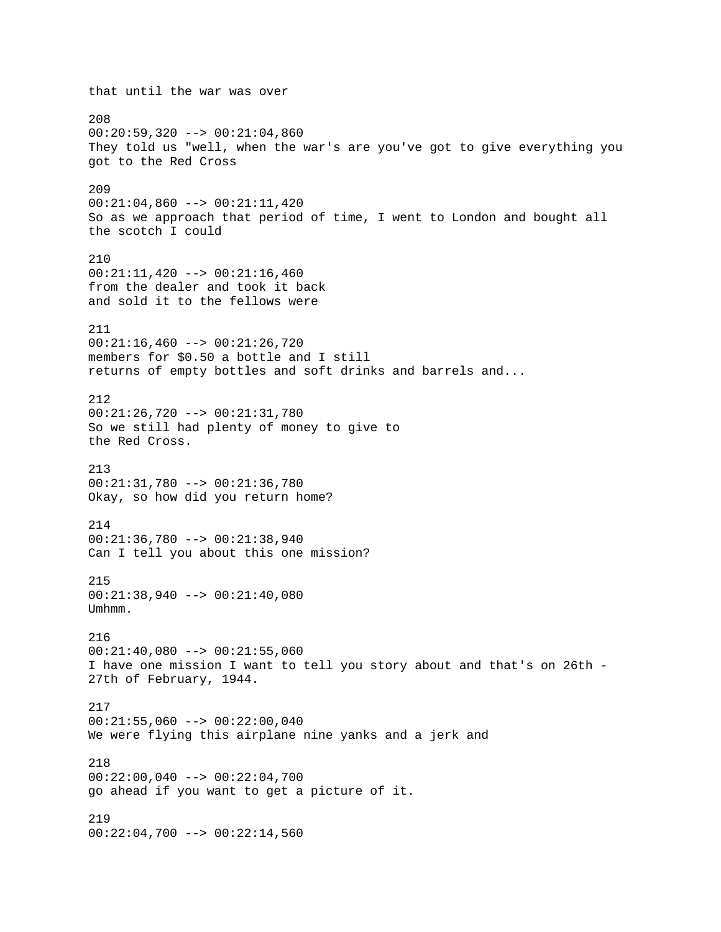that until the war was over 208  $00:20:59,320$  -->  $00:21:04,860$ They told us "well, when the war's are you've got to give everything you got to the Red Cross 209 00:21:04,860 --> 00:21:11,420 So as we approach that period of time, I went to London and bought all the scotch I could 210 00:21:11,420 --> 00:21:16,460 from the dealer and took it back and sold it to the fellows were 211  $00:21:16,460$  -->  $00:21:26,720$ members for \$0.50 a bottle and I still returns of empty bottles and soft drinks and barrels and... 212 00:21:26,720 --> 00:21:31,780 So we still had plenty of money to give to the Red Cross. 213 00:21:31,780 --> 00:21:36,780 Okay, so how did you return home? 214 00:21:36,780 --> 00:21:38,940 Can I tell you about this one mission? 215 00:21:38,940 --> 00:21:40,080 Umhmm. 216  $00:21:40,080$  -->  $00:21:55,060$ I have one mission I want to tell you story about and that's on 26th - 27th of February, 1944. 217  $00:21:55,060$  -->  $00:22:00,040$ We were flying this airplane nine yanks and a jerk and 218 00:22:00,040 --> 00:22:04,700 go ahead if you want to get a picture of it. 219  $00:22:04,700$  -->  $00:22:14,560$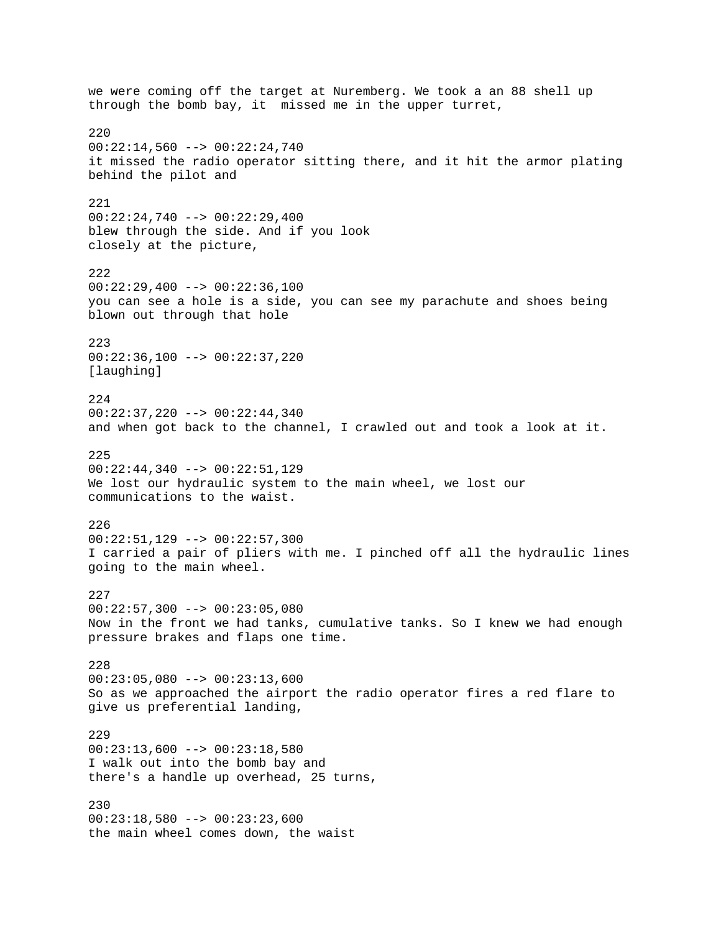we were coming off the target at Nuremberg. We took a an 88 shell up through the bomb bay, it missed me in the upper turret, 220  $00:22:14,560$  -->  $00:22:24,740$ it missed the radio operator sitting there, and it hit the armor plating behind the pilot and 221  $00:22:24,740$  -->  $00:22:29,400$ blew through the side. And if you look closely at the picture, 222  $00:22:29,400$  -->  $00:22:36,100$ you can see a hole is a side, you can see my parachute and shoes being blown out through that hole 223  $00:22:36,100$  -->  $00:22:37,220$ [laughing] 224 00:22:37,220 --> 00:22:44,340 and when got back to the channel, I crawled out and took a look at it. 225 00:22:44,340 --> 00:22:51,129 We lost our hydraulic system to the main wheel, we lost our communications to the waist. 226 00:22:51,129 --> 00:22:57,300 I carried a pair of pliers with me. I pinched off all the hydraulic lines going to the main wheel. 227 00:22:57,300 --> 00:23:05,080 Now in the front we had tanks, cumulative tanks. So I knew we had enough pressure brakes and flaps one time. 228  $00:23:05,080$  -->  $00:23:13,600$ So as we approached the airport the radio operator fires a red flare to give us preferential landing, 229  $00:23:13,600$  -->  $00:23:18,580$ I walk out into the bomb bay and there's a handle up overhead, 25 turns, 230  $00:23:18,580$  -->  $00:23:23,600$ the main wheel comes down, the waist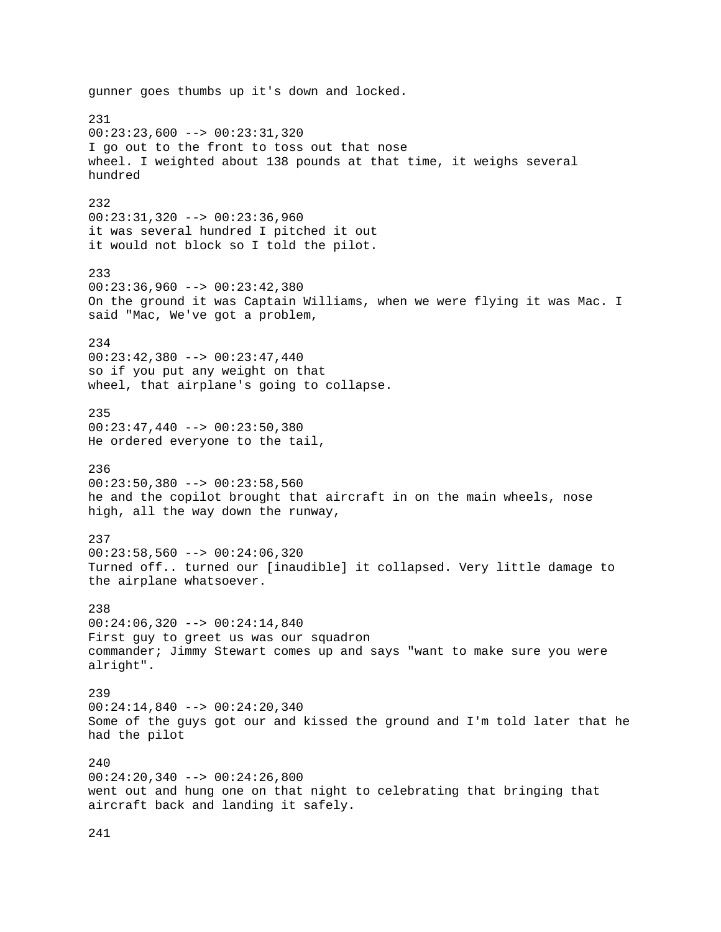gunner goes thumbs up it's down and locked. 231 00:23:23,600 --> 00:23:31,320 I go out to the front to toss out that nose wheel. I weighted about 138 pounds at that time, it weighs several hundred 232 00:23:31,320 --> 00:23:36,960 it was several hundred I pitched it out it would not block so I told the pilot. 233 00:23:36,960 --> 00:23:42,380 On the ground it was Captain Williams, when we were flying it was Mac. I said "Mac, We've got a problem, 234 00:23:42,380 --> 00:23:47,440 so if you put any weight on that wheel, that airplane's going to collapse. 235 00:23:47,440 --> 00:23:50,380 He ordered everyone to the tail, 236  $00:23:50,380$  -->  $00:23:58,560$ he and the copilot brought that aircraft in on the main wheels, nose high, all the way down the runway, 237  $00:23:58,560$  -->  $00:24:06,320$ Turned off.. turned our [inaudible] it collapsed. Very little damage to the airplane whatsoever. 238 00:24:06,320 --> 00:24:14,840 First guy to greet us was our squadron commander; Jimmy Stewart comes up and says "want to make sure you were alright". 239 00:24:14,840 --> 00:24:20,340 Some of the guys got our and kissed the ground and I'm told later that he had the pilot  $240$ 00:24:20,340 --> 00:24:26,800 went out and hung one on that night to celebrating that bringing that aircraft back and landing it safely.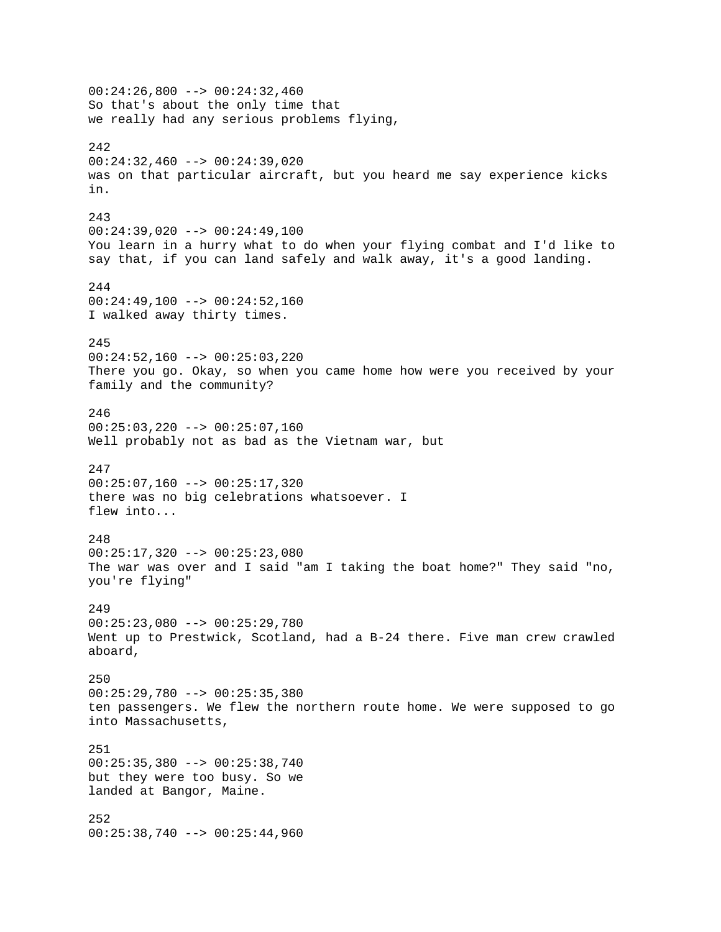00:24:26,800 --> 00:24:32,460 So that's about the only time that we really had any serious problems flying, 242 00:24:32,460 --> 00:24:39,020 was on that particular aircraft, but you heard me say experience kicks in. 243 00:24:39,020 --> 00:24:49,100 You learn in a hurry what to do when your flying combat and I'd like to say that, if you can land safely and walk away, it's a good landing. 244 00:24:49,100 --> 00:24:52,160 I walked away thirty times. 245  $00:24:52,160$  -->  $00:25:03,220$ There you go. Okay, so when you came home how were you received by your family and the community? 246 00:25:03,220 --> 00:25:07,160 Well probably not as bad as the Vietnam war, but 247 00:25:07,160 --> 00:25:17,320 there was no big celebrations whatsoever. I flew into... 248 00:25:17,320 --> 00:25:23,080 The war was over and I said "am I taking the boat home?" They said "no, you're flying" 249 00:25:23,080 --> 00:25:29,780 Went up to Prestwick, Scotland, had a B-24 there. Five man crew crawled aboard, 250 00:25:29,780 --> 00:25:35,380 ten passengers. We flew the northern route home. We were supposed to go into Massachusetts, 251 00:25:35,380 --> 00:25:38,740 but they were too busy. So we landed at Bangor, Maine. 252 00:25:38,740 --> 00:25:44,960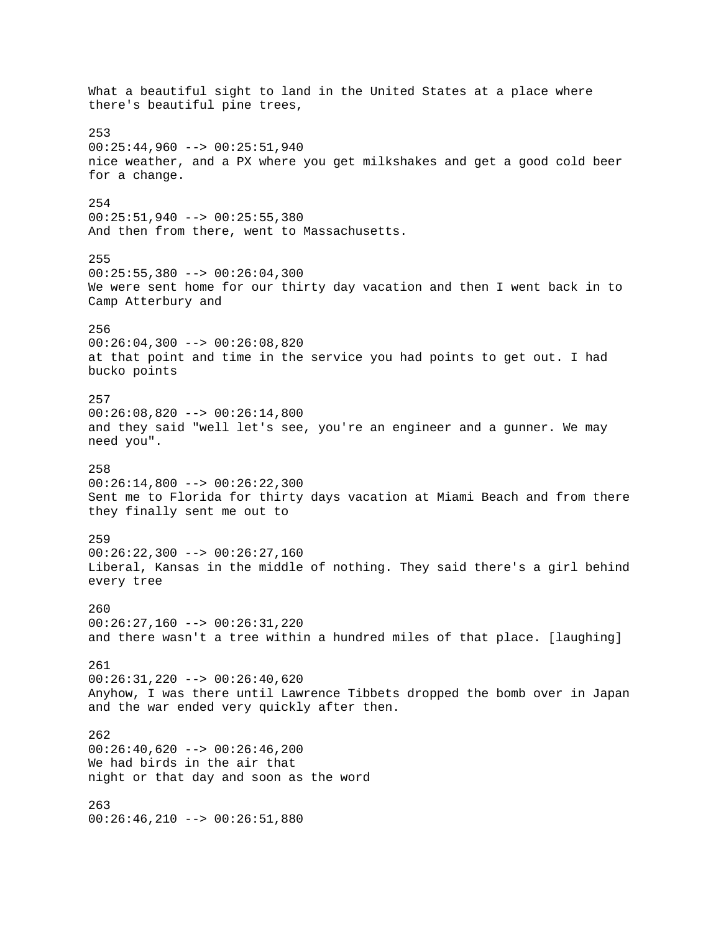What a beautiful sight to land in the United States at a place where there's beautiful pine trees, 253 00:25:44,960 --> 00:25:51,940 nice weather, and a PX where you get milkshakes and get a good cold beer for a change. 254 00:25:51,940 --> 00:25:55,380 And then from there, went to Massachusetts. 255  $00:25:55,380$  -->  $00:26:04,300$ We were sent home for our thirty day vacation and then I went back in to Camp Atterbury and 256  $00:26:04,300$  -->  $00:26:08,820$ at that point and time in the service you had points to get out. I had bucko points 257 00:26:08,820 --> 00:26:14,800 and they said "well let's see, you're an engineer and a gunner. We may need you". 258 00:26:14,800 --> 00:26:22,300 Sent me to Florida for thirty days vacation at Miami Beach and from there they finally sent me out to 259  $00:26:22,300$  -->  $00:26:27,160$ Liberal, Kansas in the middle of nothing. They said there's a girl behind every tree 260 00:26:27,160 --> 00:26:31,220 and there wasn't a tree within a hundred miles of that place. [laughing] 261 00:26:31,220 --> 00:26:40,620 Anyhow, I was there until Lawrence Tibbets dropped the bomb over in Japan and the war ended very quickly after then. 262  $00:26:40,620$  -->  $00:26:46,200$ We had birds in the air that night or that day and soon as the word 263  $00:26:46,210$  -->  $00:26:51,880$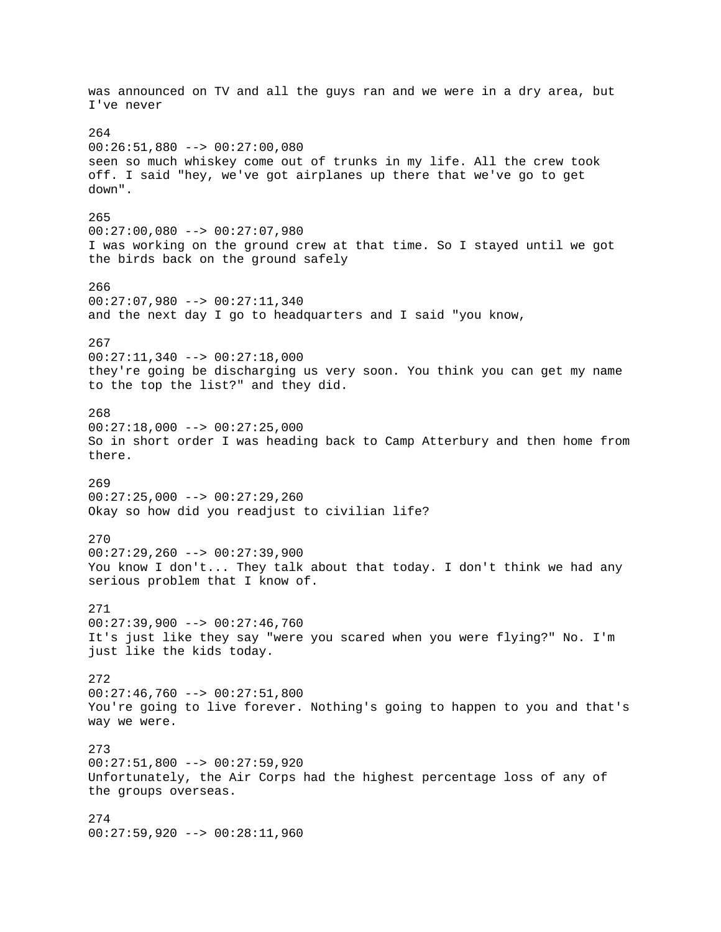was announced on TV and all the guys ran and we were in a dry area, but I've never 264 00:26:51,880 --> 00:27:00,080 seen so much whiskey come out of trunks in my life. All the crew took off. I said "hey, we've got airplanes up there that we've go to get down". 265 00:27:00,080 --> 00:27:07,980 I was working on the ground crew at that time. So I stayed until we got the birds back on the ground safely 266 00:27:07,980 --> 00:27:11,340 and the next day I go to headquarters and I said "you know, 267  $00:27:11,340$  -->  $00:27:18,000$ they're going be discharging us very soon. You think you can get my name to the top the list?" and they did. 268 00:27:18,000 --> 00:27:25,000 So in short order I was heading back to Camp Atterbury and then home from there. 269 00:27:25,000 --> 00:27:29,260 Okay so how did you readjust to civilian life? 270  $00:27:29,260$  -->  $00:27:39,900$ You know I don't... They talk about that today. I don't think we had any serious problem that I know of. 271 00:27:39,900 --> 00:27:46,760 It's just like they say "were you scared when you were flying?" No. I'm just like the kids today. 272 00:27:46,760 --> 00:27:51,800 You're going to live forever. Nothing's going to happen to you and that's way we were. 273 00:27:51,800 --> 00:27:59,920 Unfortunately, the Air Corps had the highest percentage loss of any of the groups overseas. 274 00:27:59,920 --> 00:28:11,960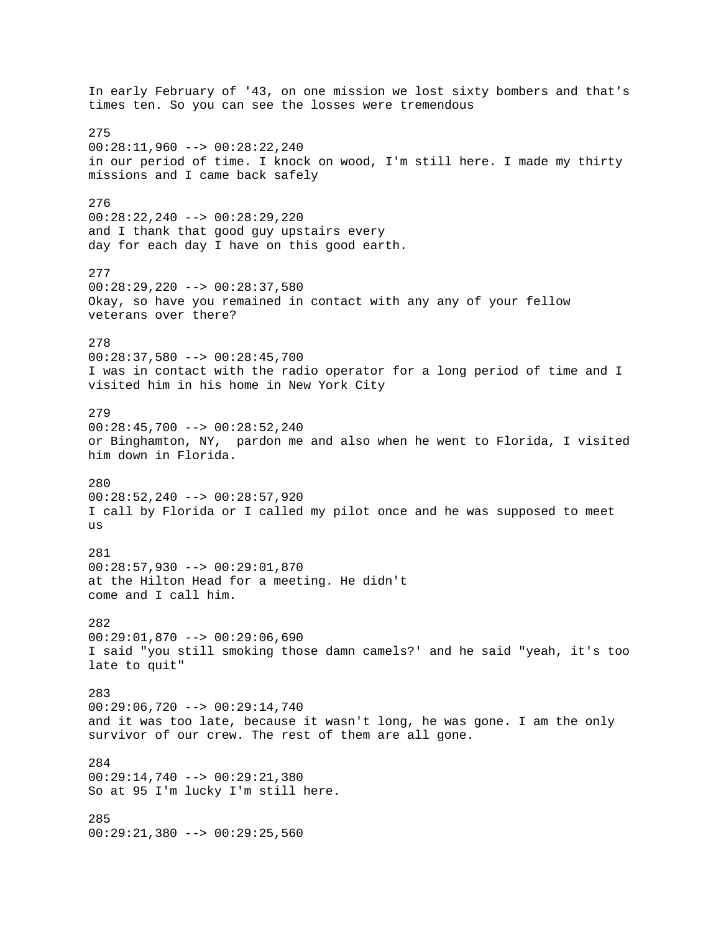In early February of '43, on one mission we lost sixty bombers and that's times ten. So you can see the losses were tremendous 275 00:28:11,960 --> 00:28:22,240 in our period of time. I knock on wood, I'm still here. I made my thirty missions and I came back safely 276 00:28:22,240 --> 00:28:29,220 and I thank that good guy upstairs every day for each day I have on this good earth. 277 00:28:29,220 --> 00:28:37,580 Okay, so have you remained in contact with any any of your fellow veterans over there? 278 00:28:37,580 --> 00:28:45,700 I was in contact with the radio operator for a long period of time and I visited him in his home in New York City 279 00:28:45,700 --> 00:28:52,240 or Binghamton, NY, pardon me and also when he went to Florida, I visited him down in Florida. 280 00:28:52,240 --> 00:28:57,920 I call by Florida or I called my pilot once and he was supposed to meet us 281 00:28:57,930 --> 00:29:01,870 at the Hilton Head for a meeting. He didn't come and I call him. 282 00:29:01,870 --> 00:29:06,690 I said "you still smoking those damn camels?' and he said "yeah, it's too late to quit" 283 00:29:06,720 --> 00:29:14,740 and it was too late, because it wasn't long, he was gone. I am the only survivor of our crew. The rest of them are all gone. 284 00:29:14,740 --> 00:29:21,380 So at 95 I'm lucky I'm still here. 285 00:29:21,380 --> 00:29:25,560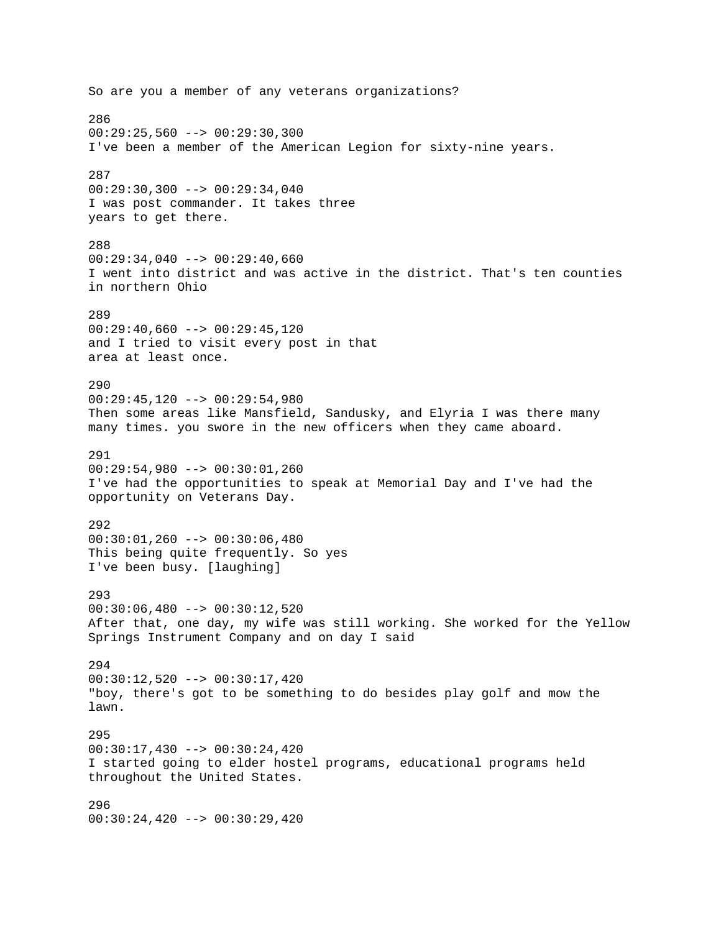So are you a member of any veterans organizations? 286  $00:29:25,560$  -->  $00:29:30,300$ I've been a member of the American Legion for sixty-nine years. 287  $00:29:30,300$  -->  $00:29:34,040$ I was post commander. It takes three years to get there. 288 00:29:34,040 --> 00:29:40,660 I went into district and was active in the district. That's ten counties in northern Ohio 289 00:29:40,660 --> 00:29:45,120 and I tried to visit every post in that area at least once. 290 00:29:45,120 --> 00:29:54,980 Then some areas like Mansfield, Sandusky, and Elyria I was there many many times. you swore in the new officers when they came aboard. 291 00:29:54,980 --> 00:30:01,260 I've had the opportunities to speak at Memorial Day and I've had the opportunity on Veterans Day. 292  $00:30:01,260$  -->  $00:30:06,480$ This being quite frequently. So yes I've been busy. [laughing] 293  $00:30:06,480$  -->  $00:30:12,520$ After that, one day, my wife was still working. She worked for the Yellow Springs Instrument Company and on day I said 294 00:30:12,520 --> 00:30:17,420 "boy, there's got to be something to do besides play golf and mow the lawn. 295  $00:30:17,430$  -->  $00:30:24,420$ I started going to elder hostel programs, educational programs held throughout the United States. 296  $00:30:24,420$  -->  $00:30:29,420$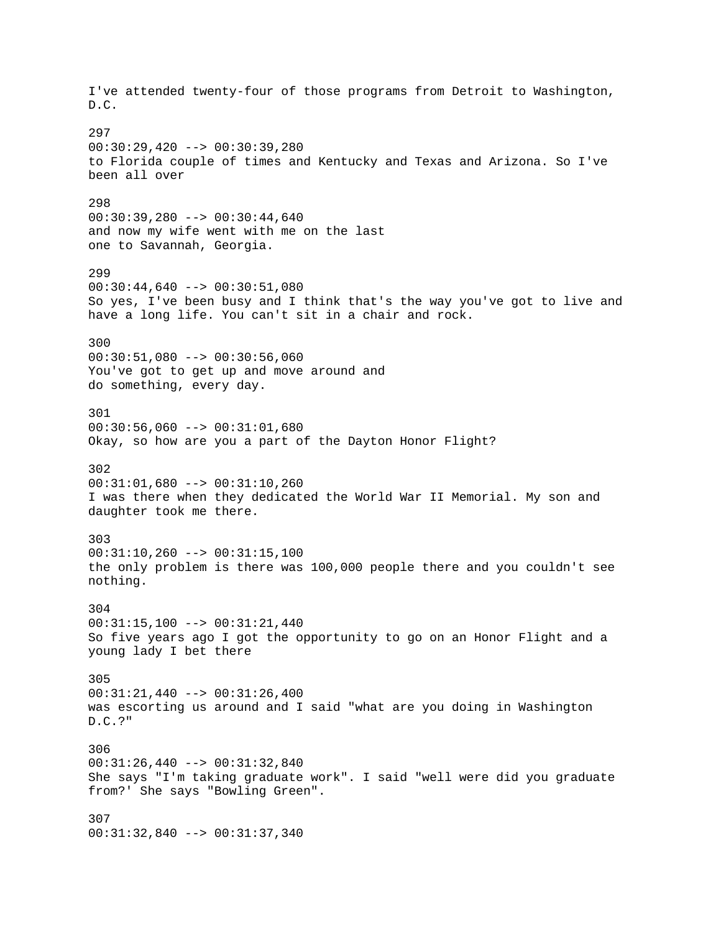I've attended twenty-four of those programs from Detroit to Washington, D.C. 297  $00:30:29,420$  -->  $00:30:39,280$ to Florida couple of times and Kentucky and Texas and Arizona. So I've been all over 298 00:30:39,280 --> 00:30:44,640 and now my wife went with me on the last one to Savannah, Georgia. 299  $00:30:44,640$  -->  $00:30:51,080$ So yes, I've been busy and I think that's the way you've got to live and have a long life. You can't sit in a chair and rock. 300  $00:30:51,080$  -->  $00:30:56,060$ You've got to get up and move around and do something, every day. 301 00:30:56,060 --> 00:31:01,680 Okay, so how are you a part of the Dayton Honor Flight? 302 00:31:01,680 --> 00:31:10,260 I was there when they dedicated the World War II Memorial. My son and daughter took me there. 303  $00:31:10,260$  -->  $00:31:15,100$ the only problem is there was 100,000 people there and you couldn't see nothing. 304 00:31:15,100 --> 00:31:21,440 So five years ago I got the opportunity to go on an Honor Flight and a young lady I bet there 305 00:31:21,440 --> 00:31:26,400 was escorting us around and I said "what are you doing in Washington D.C.?" 306 00:31:26,440 --> 00:31:32,840 She says "I'm taking graduate work". I said "well were did you graduate from?' She says "Bowling Green". 307 00:31:32,840 --> 00:31:37,340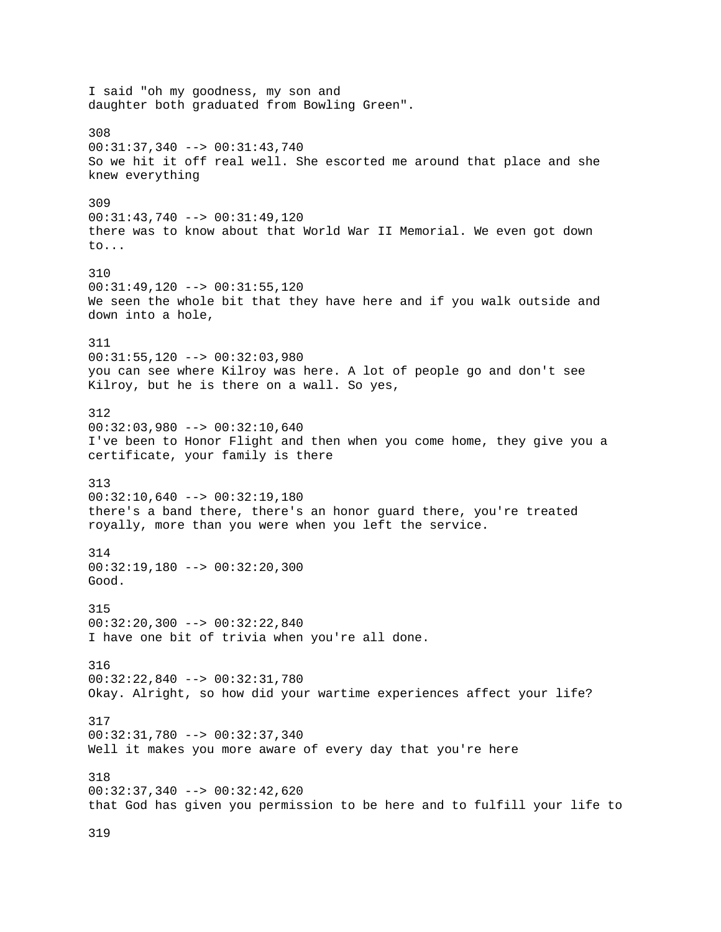I said "oh my goodness, my son and daughter both graduated from Bowling Green". 308 00:31:37,340 --> 00:31:43,740 So we hit it off real well. She escorted me around that place and she knew everything 309 00:31:43,740 --> 00:31:49,120 there was to know about that World War II Memorial. We even got down to... 310 00:31:49,120 --> 00:31:55,120 We seen the whole bit that they have here and if you walk outside and down into a hole, 311  $00:31:55,120$  -->  $00:32:03,980$ you can see where Kilroy was here. A lot of people go and don't see Kilroy, but he is there on a wall. So yes, 312 00:32:03,980 --> 00:32:10,640 I've been to Honor Flight and then when you come home, they give you a certificate, your family is there 313 00:32:10,640 --> 00:32:19,180 there's a band there, there's an honor guard there, you're treated royally, more than you were when you left the service. 314 00:32:19,180 --> 00:32:20,300 Good. 315 00:32:20,300 --> 00:32:22,840 I have one bit of trivia when you're all done. 316 00:32:22,840 --> 00:32:31,780 Okay. Alright, so how did your wartime experiences affect your life? 317 00:32:31,780 --> 00:32:37,340 Well it makes you more aware of every day that you're here 318 00:32:37,340 --> 00:32:42,620 that God has given you permission to be here and to fulfill your life to

319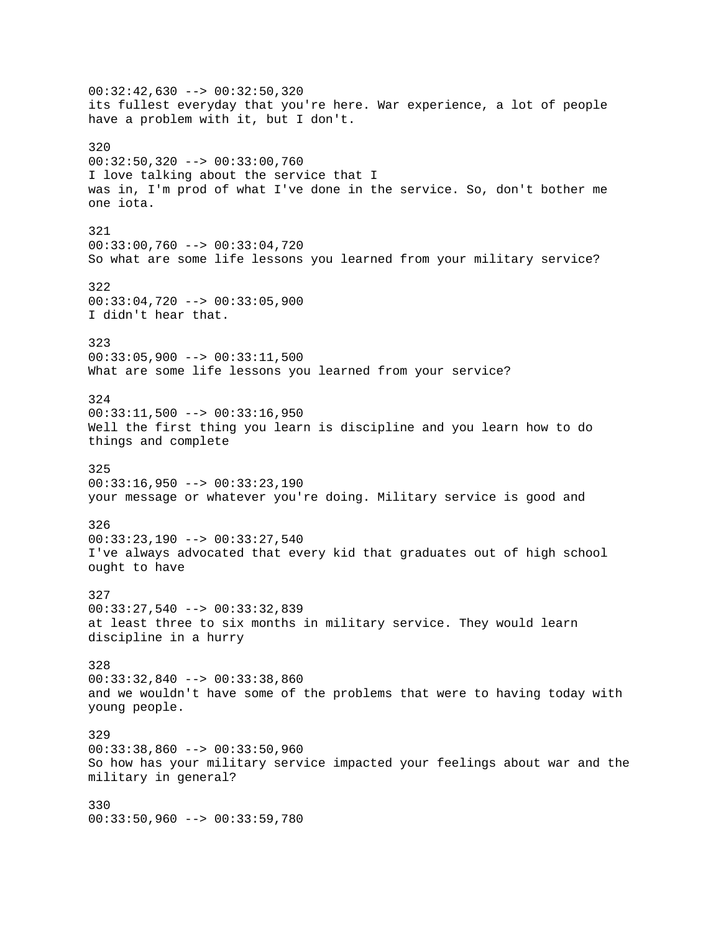00:32:42,630 --> 00:32:50,320 its fullest everyday that you're here. War experience, a lot of people have a problem with it, but I don't. 320 00:32:50,320 --> 00:33:00,760 I love talking about the service that I was in, I'm prod of what I've done in the service. So, don't bother me one iota. 321 00:33:00,760 --> 00:33:04,720 So what are some life lessons you learned from your military service? 322 00:33:04,720 --> 00:33:05,900 I didn't hear that. 323 00:33:05,900 --> 00:33:11,500 What are some life lessons you learned from your service? 324  $00:33:11,500$  -->  $00:33:16,950$ Well the first thing you learn is discipline and you learn how to do things and complete 325  $00:33:16,950$  -->  $00:33:23,190$ your message or whatever you're doing. Military service is good and 326 00:33:23,190 --> 00:33:27,540 I've always advocated that every kid that graduates out of high school ought to have 327 00:33:27,540 --> 00:33:32,839 at least three to six months in military service. They would learn discipline in a hurry 328 00:33:32,840 --> 00:33:38,860 and we wouldn't have some of the problems that were to having today with young people. 329 00:33:38,860 --> 00:33:50,960 So how has your military service impacted your feelings about war and the military in general? 330 00:33:50,960 --> 00:33:59,780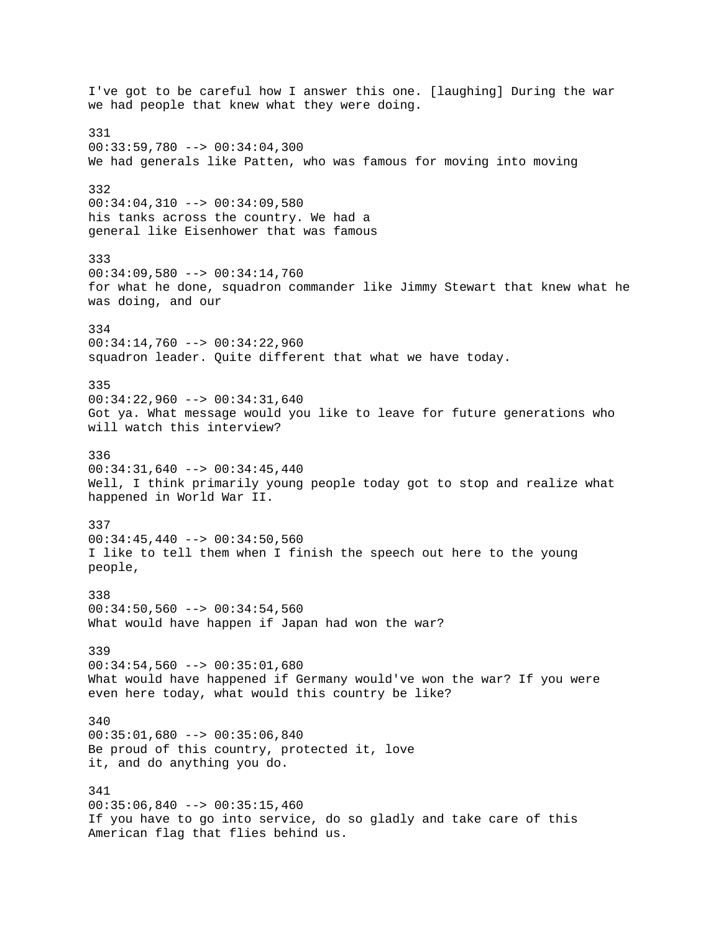I've got to be careful how I answer this one. [laughing] During the war we had people that knew what they were doing. 331 00:33:59,780 --> 00:34:04,300 We had generals like Patten, who was famous for moving into moving 332 00:34:04,310 --> 00:34:09,580 his tanks across the country. We had a general like Eisenhower that was famous 333 00:34:09,580 --> 00:34:14,760 for what he done, squadron commander like Jimmy Stewart that knew what he was doing, and our 334 00:34:14,760 --> 00:34:22,960 squadron leader. Quite different that what we have today. 335 00:34:22,960 --> 00:34:31,640 Got ya. What message would you like to leave for future generations who will watch this interview? 336 00:34:31,640 --> 00:34:45,440 Well, I think primarily young people today got to stop and realize what happened in World War II. 337  $00:34:45,440$  -->  $00:34:50,560$ I like to tell them when I finish the speech out here to the young people, 338  $00:34:50,560$  -->  $00:34:54,560$ What would have happen if Japan had won the war? 339 00:34:54,560 --> 00:35:01,680 What would have happened if Germany would've won the war? If you were even here today, what would this country be like? 340 00:35:01,680 --> 00:35:06,840 Be proud of this country, protected it, love it, and do anything you do. 341  $00:35:06,840$  -->  $00:35:15,460$ If you have to go into service, do so gladly and take care of this American flag that flies behind us.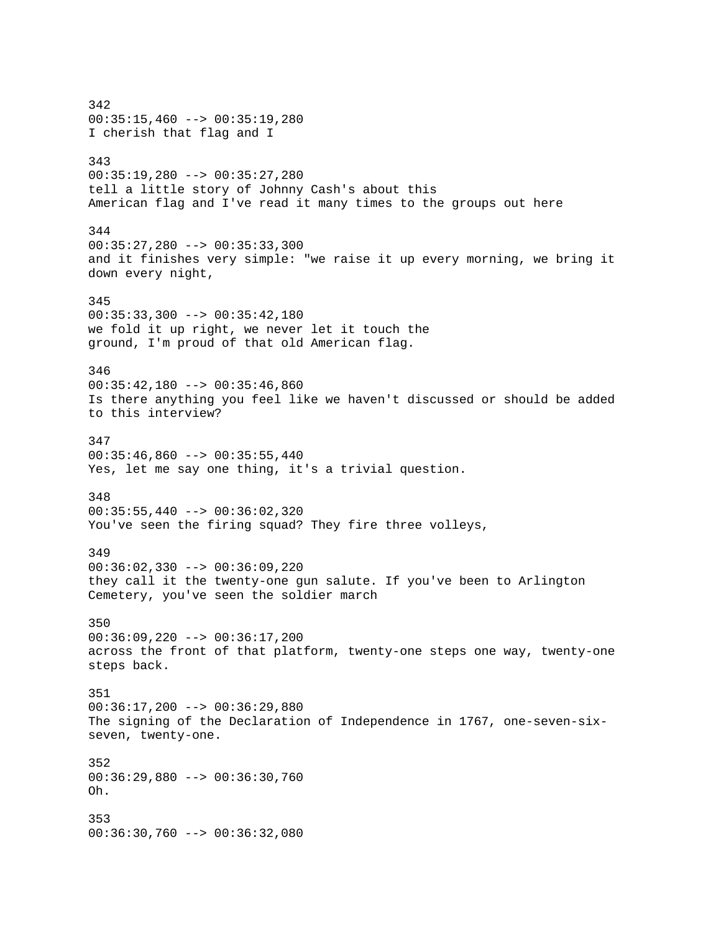342  $00:35:15,460$  -->  $00:35:19,280$ I cherish that flag and I 343 00:35:19,280 --> 00:35:27,280 tell a little story of Johnny Cash's about this American flag and I've read it many times to the groups out here 344 00:35:27,280 --> 00:35:33,300 and it finishes very simple: "we raise it up every morning, we bring it down every night, 345 00:35:33,300 --> 00:35:42,180 we fold it up right, we never let it touch the ground, I'm proud of that old American flag. 346 00:35:42,180 --> 00:35:46,860 Is there anything you feel like we haven't discussed or should be added to this interview? 347  $00:35:46,860$  -->  $00:35:55,440$ Yes, let me say one thing, it's a trivial question. 348 00:35:55,440 --> 00:36:02,320 You've seen the firing squad? They fire three volleys, 349 00:36:02,330 --> 00:36:09,220 they call it the twenty-one gun salute. If you've been to Arlington Cemetery, you've seen the soldier march 350 00:36:09,220 --> 00:36:17,200 across the front of that platform, twenty-one steps one way, twenty-one steps back. 351 00:36:17,200 --> 00:36:29,880 The signing of the Declaration of Independence in 1767, one-seven-sixseven, twenty-one. 352 00:36:29,880 --> 00:36:30,760 Oh. 353 00:36:30,760 --> 00:36:32,080